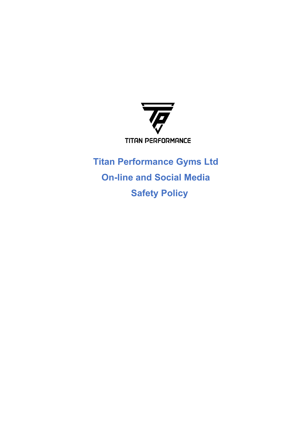

 **Titan Performance Gyms Ltd On-line and Social Media Safety Policy**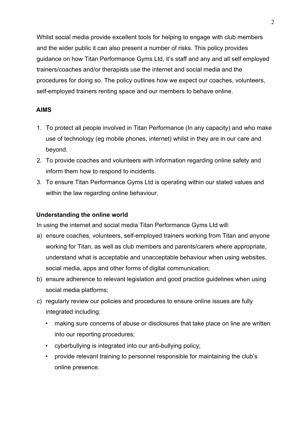Whilst social media provide excellent tools for helping to engage with club members and the wider public it can also present a number of risks. This policy provides guidance on how Titan Performance Gyms Ltd, it's staff and any and all self employed trainers/coaches and/or therapists use the internet and social media and the procedures for doing so. The policy outlines how we expect our coaches, volunteers, self-employed trainers renting space and our members to behave online.

# **AIMS**

- 1. To protect all people involved in Titan Performance (In any capacity) and who make use of technology (eg mobile phones, internet) whilst in they are in our care and beyond.
- 2. To provide coaches and volunteers with information regarding online safety and inform them how to respond to incidents.
- 3. To ensure Titan Performance Gyms Ltd is operating within our stated values and within the law regarding online behaviour.

## **Understanding the online world**

In using the internet and social media Titan Performance Gyms Ltd will:

- a) ensure coaches, volunteers, self-employed trainers working from Titan and anyone working for Titan, as well as club members and parents/carers where appropriate, understand what is acceptable and unacceptable behaviour when using websites, social media, apps and other forms of digital communication;
- b) ensure adherence to relevant legislation and good practice guidelines when using social media platforms;
- c) regularly review our policies and procedures to ensure online issues are fully integrated including:
	- making sure concerns of abuse or disclosures that take place on line are written into our reporting procedures;
	- cyberbullying is integrated into our anti-bullying policy;
	- provide relevant training to personnel responsible for maintaining the club's online presence.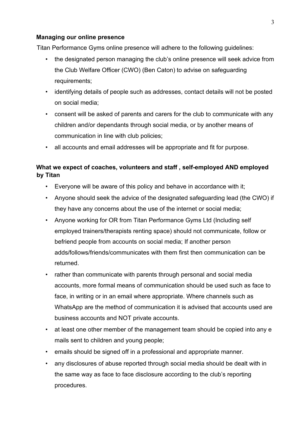### **Managing our online presence**

Titan Performance Gyms online presence will adhere to the following guidelines:

- the designated person managing the club's online presence will seek advice from the Club Welfare Officer (CWO) (Ben Caton) to advise on safeguarding requirements;
- identifying details of people such as addresses, contact details will not be posted on social media;
- consent will be asked of parents and carers for the club to communicate with any children and/or dependants through social media, or by another means of communication in line with club policies;
- all accounts and email addresses will be appropriate and fit for purpose.

# **What we expect of coaches, volunteers and staff , self-employed AND employed by Titan**

- Everyone will be aware of this policy and behave in accordance with it;
- Anyone should seek the advice of the designated safeguarding lead (the CWO) if they have any concerns about the use of the internet or social media;
- Anyone working for OR from Titan Performance Gyms Ltd (Including self employed trainers/therapists renting space) should not communicate, follow or befriend people from accounts on social media; If another person adds/follows/friends/communicates with them first then communication can be returned.
- rather than communicate with parents through personal and social media accounts, more formal means of communication should be used such as face to face, in writing or in an email where appropriate. Where channels such as WhatsApp are the method of communication it is advised that accounts used are business accounts and NOT private accounts.
- at least one other member of the management team should be copied into any e mails sent to children and young people;
- emails should be signed off in a professional and appropriate manner.
- any disclosures of abuse reported through social media should be dealt with in the same way as face to face disclosure according to the club's reporting procedures.